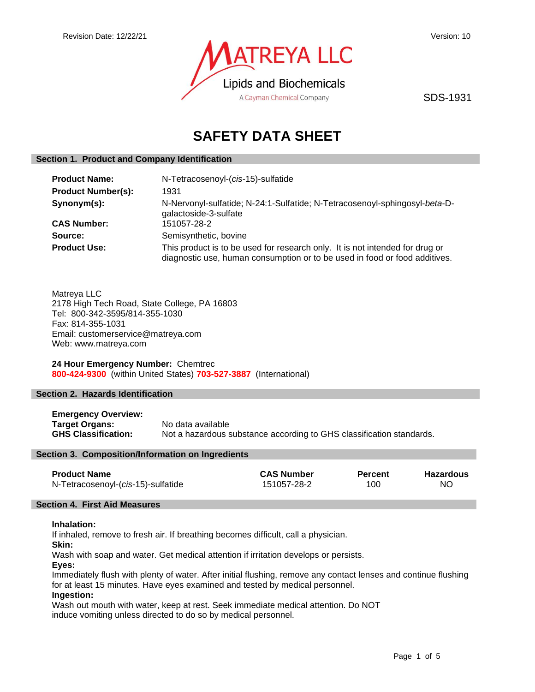

SDS-1931

# **SAFETY DATA SHEET**

# **Section 1. Product and Company Identification**

| <b>Product Name:</b>      | N-Tetracosenoyl-(cis-15)-sulfatide                                                                                                                         |  |
|---------------------------|------------------------------------------------------------------------------------------------------------------------------------------------------------|--|
| <b>Product Number(s):</b> | 1931                                                                                                                                                       |  |
| Synonym(s):               | N-Nervonyl-sulfatide; N-24:1-Sulfatide; N-Tetracosenoyl-sphingosyl-beta-D-<br>galactoside-3-sulfate                                                        |  |
| <b>CAS Number:</b>        | 151057-28-2                                                                                                                                                |  |
| Source:                   | Semisynthetic, bovine                                                                                                                                      |  |
| <b>Product Use:</b>       | This product is to be used for research only. It is not intended for drug or<br>diagnostic use, human consumption or to be used in food or food additives. |  |

Matreya LLC 2178 High Tech Road, State College, PA 16803 Tel: 800-342-3595/814-355-1030 Fax: 814-355-1031 Email: customerservice@matreya.com Web: www.matreya.com

**24 Hour Emergency Number:** Chemtrec **800-424-9300** (within United States) **703-527-3887** (International)

# **Section 2. Hazards Identification**

**Emergency Overview: Target Organs:** No data available **GHS Classification:** Not a hazardous substance according to GHS classification standards.

#### **Section 3. Composition/Information on Ingredients**

| <b>Product Name</b>                | <b>CAS Number</b> | <b>Percent</b> | <b>Hazardous</b> |
|------------------------------------|-------------------|----------------|------------------|
| N-Tetracosenoyl-(cis-15)-sulfatide | 151057-28-2       | 100            | NΟ               |

# **Section 4. First Aid Measures**

# **Inhalation:**

If inhaled, remove to fresh air. If breathing becomes difficult, call a physician.

**Skin:**

Wash with soap and water. Get medical attention if irritation develops or persists.

**Eyes:**

Immediately flush with plenty of water. After initial flushing, remove any contact lenses and continue flushing for at least 15 minutes. Have eyes examined and tested by medical personnel.

# **Ingestion:**

Wash out mouth with water, keep at rest. Seek immediate medical attention. Do NOT induce vomiting unless directed to do so by medical personnel.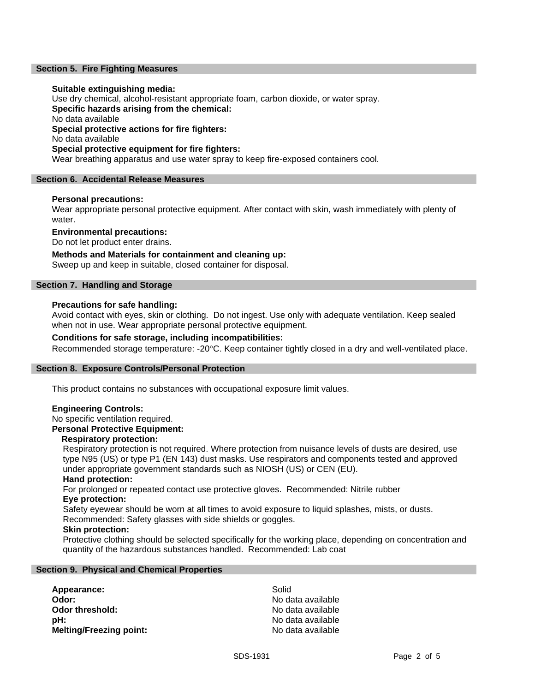## **Section 5. Fire Fighting Measures**

### **Suitable extinguishing media:**

Use dry chemical, alcohol-resistant appropriate foam, carbon dioxide, or water spray. **Specific hazards arising from the chemical:** No data available **Special protective actions for fire fighters:** No data available **Special protective equipment for fire fighters:** Wear breathing apparatus and use water spray to keep fire-exposed containers cool.

#### **Section 6. Accidental Release Measures**

#### **Personal precautions:**

Wear appropriate personal protective equipment. After contact with skin, wash immediately with plenty of water.

**Environmental precautions:**

Do not let product enter drains.

**Methods and Materials for containment and cleaning up:**

Sweep up and keep in suitable, closed container for disposal.

# **Section 7. Handling and Storage**

# **Precautions for safe handling:**

Avoid contact with eyes, skin or clothing. Do not ingest. Use only with adequate ventilation. Keep sealed when not in use. Wear appropriate personal protective equipment.

## **Conditions for safe storage, including incompatibilities:**

Recommended storage temperature: -20°C. Keep container tightly closed in a dry and well-ventilated place.

#### **Section 8. Exposure Controls/Personal Protection**

This product contains no substances with occupational exposure limit values.

#### **Engineering Controls:**

# No specific ventilation required.

**Personal Protective Equipment:**

#### **Respiratory protection:**

Respiratory protection is not required. Where protection from nuisance levels of dusts are desired, use type N95 (US) or type P1 (EN 143) dust masks. Use respirators and components tested and approved under appropriate government standards such as NIOSH (US) or CEN (EU).

#### **Hand protection:**

For prolonged or repeated contact use protective gloves. Recommended: Nitrile rubber **Eye protection:**

Safety eyewear should be worn at all times to avoid exposure to liquid splashes, mists, or dusts. Recommended: Safety glasses with side shields or goggles.

#### **Skin protection:**

Protective clothing should be selected specifically for the working place, depending on concentration and quantity of the hazardous substances handled. Recommended: Lab coat

#### **Section 9. Physical and Chemical Properties**

Appearance: Solid **Odor:** No data available<br> **Odor threshold:** No data available<br>
No data available **pH:**  $\blacksquare$ **Melting/Freezing point:** No data available

**Odor threshold:** No data available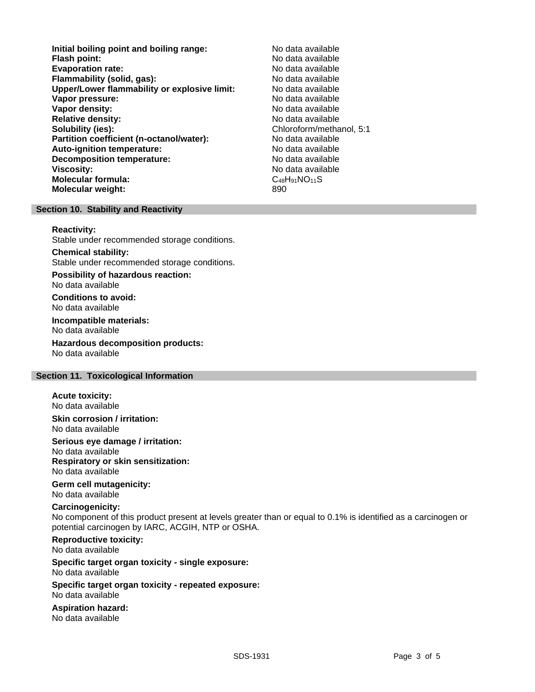- **Initial boiling point and boiling range:** No data available **Flash point:** No data available **Evaporation rate: Flammability (solid, gas):** No data available **Upper/Lower flammability or explosive limit:** No data available **Vapor pressure:** No data available **Vapor density:** No data available **Relative density:** No data available **Solubility (ies):** Chloroform/methanol, 5:1 **Partition coefficient (n-octanol/water):** No data available<br> **Auto-ignition temperature:** No data available **Auto-ignition temperature: Decomposition temperature:** No data available **Viscosity:** No data available **Molecular formula:** C<sub>48</sub>H<sub>91</sub>NO<sub>11</sub>S **Molecular weight:** 890
	-

## **Section 10. Stability and Reactivity**

**Reactivity:**

Stable under recommended storage conditions.

#### **Chemical stability:**

Stable under recommended storage conditions.

**Possibility of hazardous reaction:** No data available

**Conditions to avoid:** No data available

**Incompatible materials:** No data available

**Hazardous decomposition products:** No data available

## **Section 11. Toxicological Information**

**Acute toxicity:** No data available

**Skin corrosion / irritation:** No data available

**Serious eye damage / irritation:**

No data available **Respiratory or skin sensitization:** No data available

**Germ cell mutagenicity:** No data available

#### **Carcinogenicity:**

No component of this product present at levels greater than or equal to 0.1% is identified as a carcinogen or potential carcinogen by IARC, ACGIH, NTP or OSHA.

# **Reproductive toxicity:**

No data available

#### **Specific target organ toxicity - single exposure:** No data available

**Specific target organ toxicity - repeated exposure:** No data available

**Aspiration hazard:** No data available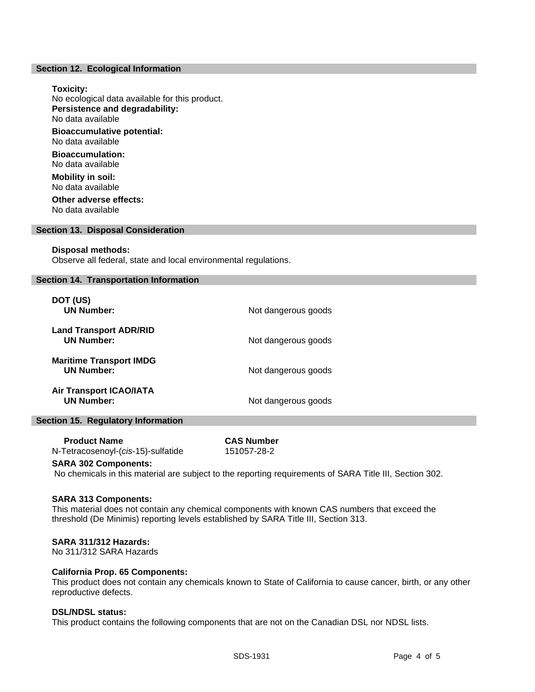#### **Section 12. Ecological Information**

#### **Toxicity:**

No ecological data available for this product. **Persistence and degradability:** No data available **Bioaccumulative potential:** No data available **Bioaccumulation:** No data available **Mobility in soil:** No data available **Other adverse effects:** No data available

#### **Section 13. Disposal Consideration**

#### **Disposal methods:**

Observe all federal, state and local environmental regulations.

## **Section 14. Transportation Information**

| DOT (US)<br><b>UN Number:</b>                       | Not dangerous goods |
|-----------------------------------------------------|---------------------|
| <b>Land Transport ADR/RID</b><br><b>UN Number:</b>  | Not dangerous goods |
| <b>Maritime Transport IMDG</b><br><b>UN Number:</b> | Not dangerous goods |
| <b>Air Transport ICAO/IATA</b><br><b>UN Number:</b> | Not dangerous goods |

#### **Section 15. Regulatory Information**

| <b>Product Name</b>                | <b>CAS Number</b> |
|------------------------------------|-------------------|
| N-Tetracosenoyl-(cis-15)-sulfatide | 151057-28-2       |

#### **SARA 302 Components:**

No chemicals in this material are subject to the reporting requirements of SARA Title III, Section 302.

# **SARA 313 Components:**

This material does not contain any chemical components with known CAS numbers that exceed the threshold (De Minimis) reporting levels established by SARA Title III, Section 313.

# **SARA 311/312 Hazards:**

No 311/312 SARA Hazards

#### **California Prop. 65 Components:**

This product does not contain any chemicals known to State of California to cause cancer, birth, or any other reproductive defects.

# **DSL/NDSL status:**

This product contains the following components that are not on the Canadian DSL nor NDSL lists.